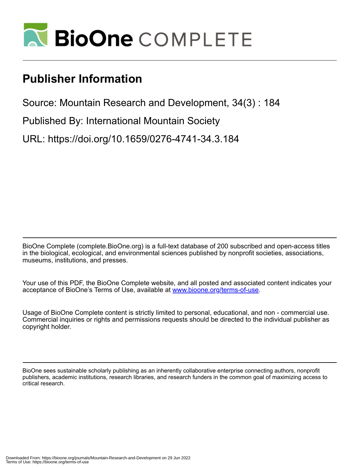

# **Publisher Information**

Source: Mountain Research and Development, 34(3) : 184

Published By: International Mountain Society

URL: https://doi.org/10.1659/0276-4741-34.3.184

BioOne Complete (complete.BioOne.org) is a full-text database of 200 subscribed and open-access titles in the biological, ecological, and environmental sciences published by nonprofit societies, associations, museums, institutions, and presses.

Your use of this PDF, the BioOne Complete website, and all posted and associated content indicates your acceptance of BioOne's Terms of Use, available at www.bioone.org/terms-of-use.

Usage of BioOne Complete content is strictly limited to personal, educational, and non - commercial use. Commercial inquiries or rights and permissions requests should be directed to the individual publisher as copyright holder.

BioOne sees sustainable scholarly publishing as an inherently collaborative enterprise connecting authors, nonprofit publishers, academic institutions, research libraries, and research funders in the common goal of maximizing access to critical research.